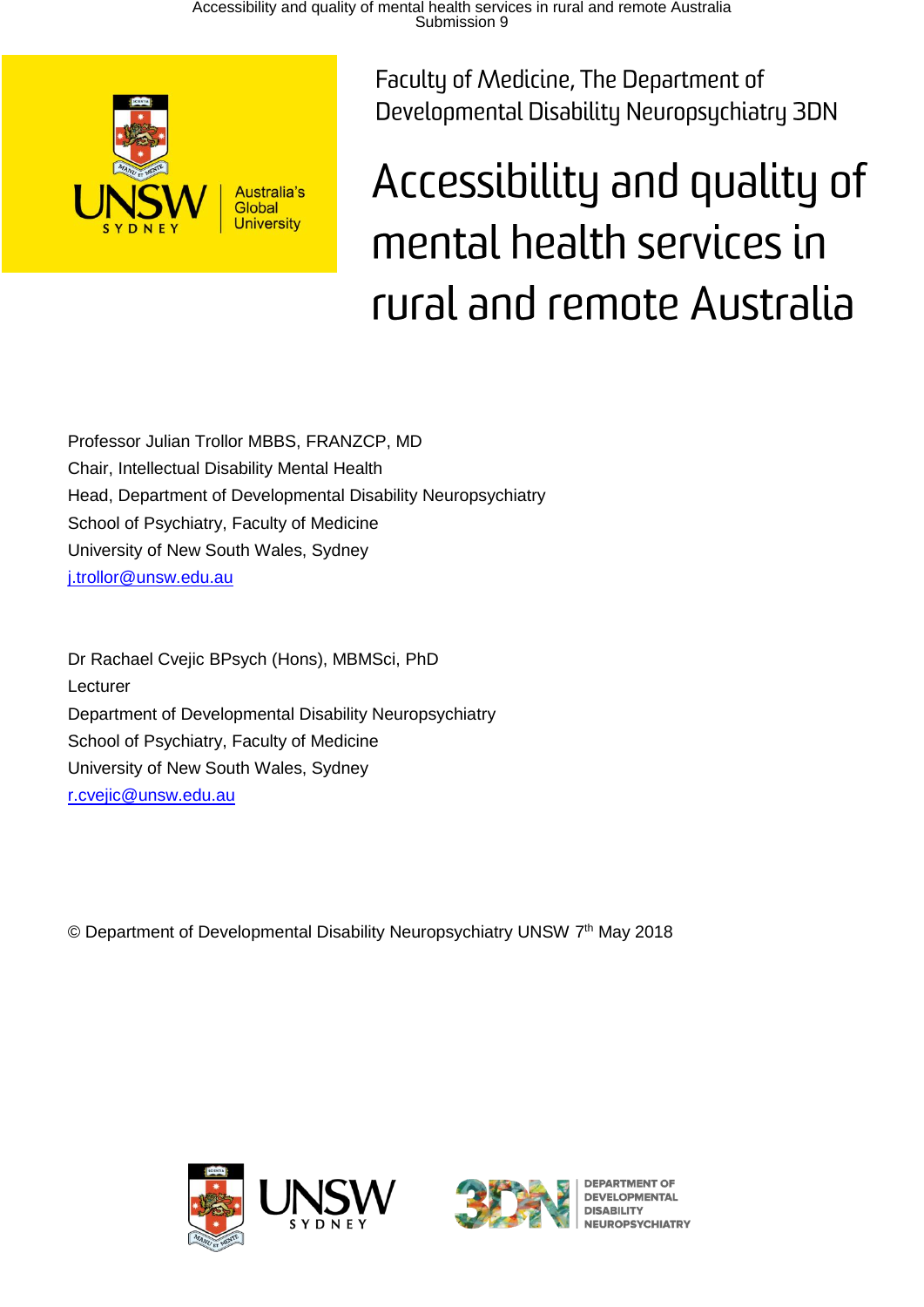

Faculty of Medicine, The Department of Developmental Disability Neuropsychiatry 3DN

# Accessibility and quality of mental health services in rural and remote Australia

Professor Julian Trollor MBBS, FRANZCP, MD Chair, Intellectual Disability Mental Health Head, Department of Developmental Disability Neuropsychiatry School of Psychiatry, Faculty of Medicine University of New South Wales, Sydney [j.trollor@unsw.edu.au](mailto:j.trollor@unsw.edu.au)

Dr Rachael Cvejic BPsych (Hons), MBMSci, PhD Lecturer Department of Developmental Disability Neuropsychiatry School of Psychiatry, Faculty of Medicine University of New South Wales, Sydney [r.cvejic@unsw.edu.au](mailto:r.cvejic@unsw.edu.au)

© Department of Developmental Disability Neuropsychiatry UNSW 7<sup>th</sup> May 2018





**DEVELOPMENTAL DISARILITY UROPSYCHIATRY**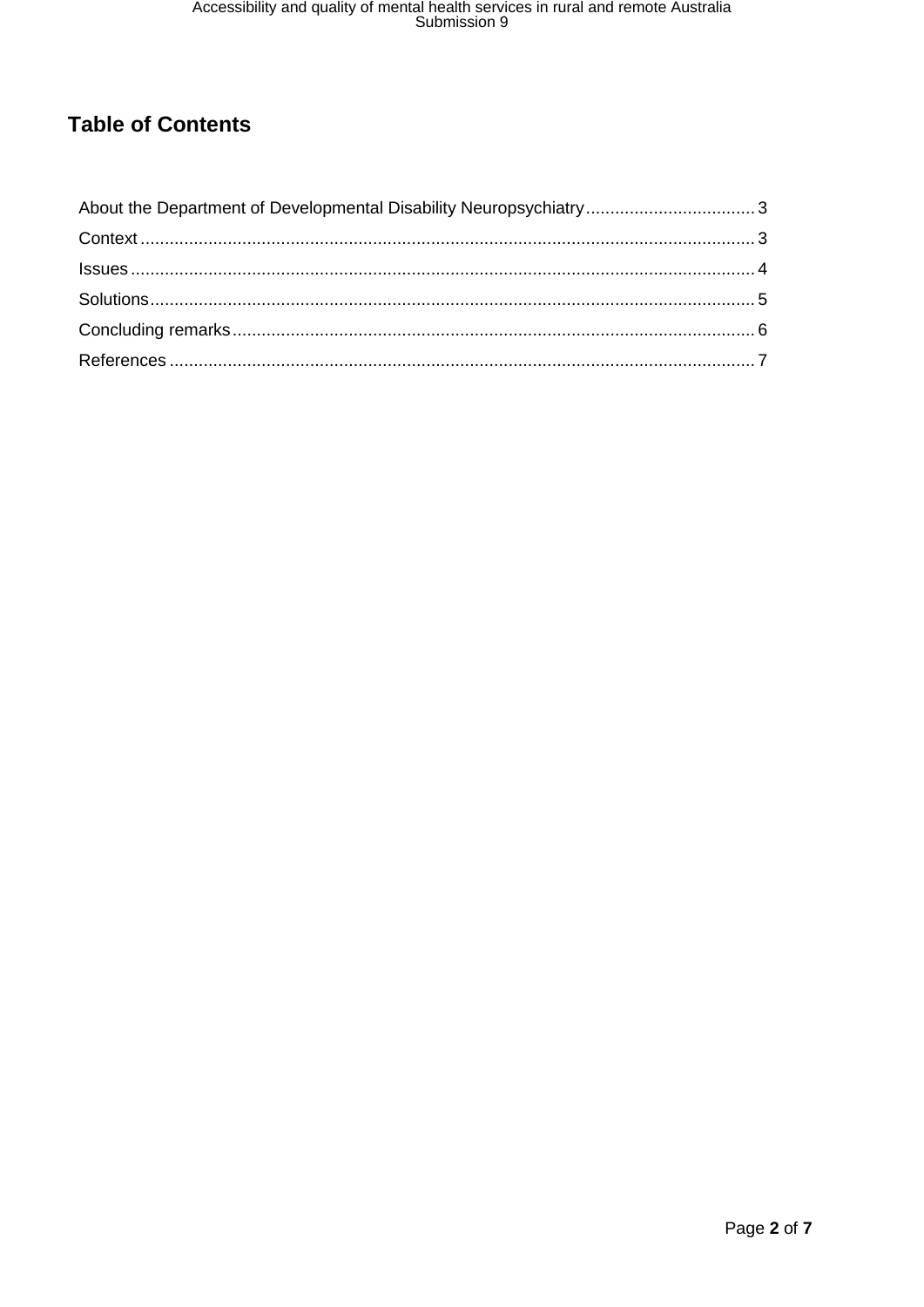# **Table of Contents**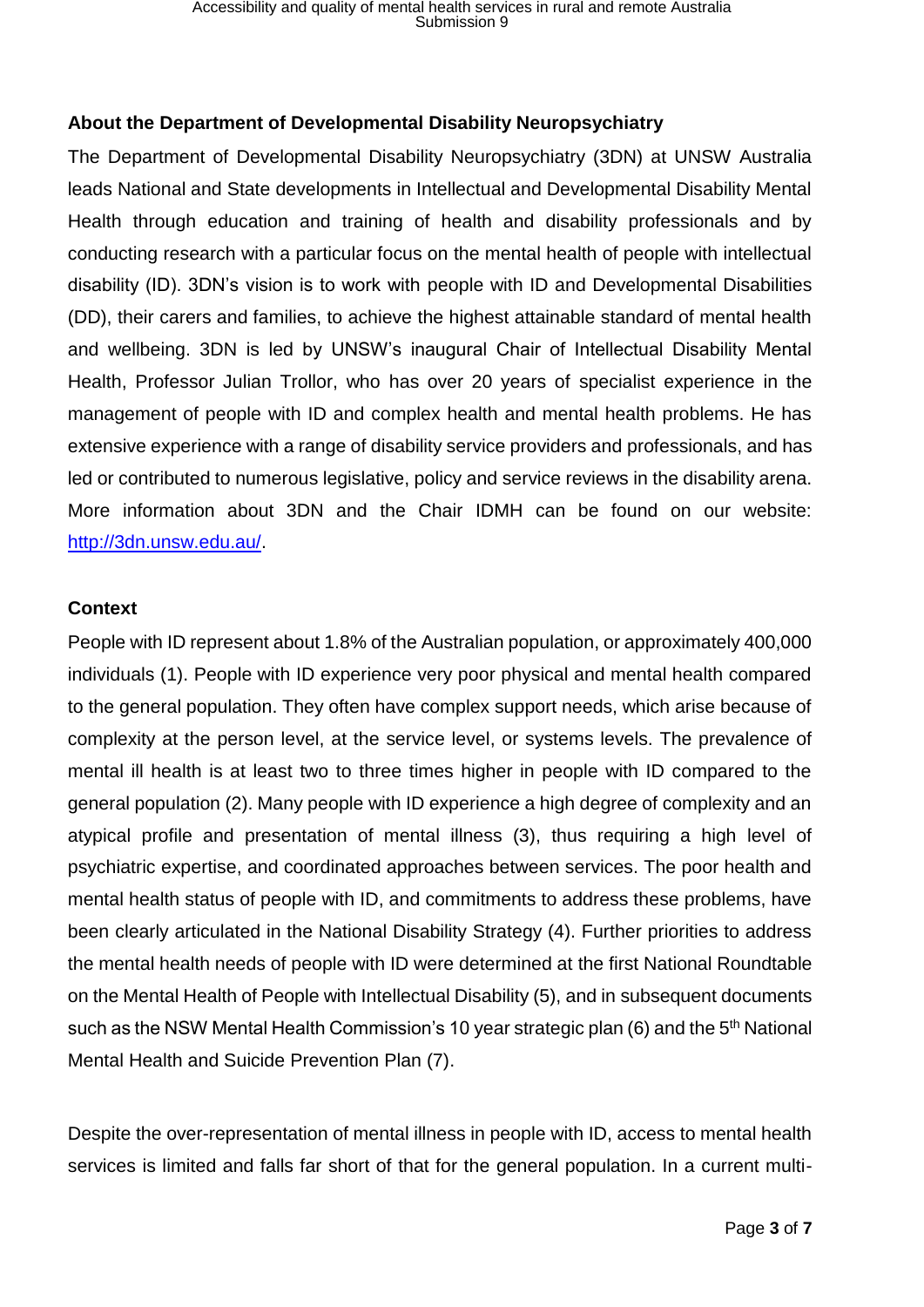# <span id="page-2-0"></span>**About the Department of Developmental Disability Neuropsychiatry**

The Department of Developmental Disability Neuropsychiatry (3DN) at UNSW Australia leads National and State developments in Intellectual and Developmental Disability Mental Health through education and training of health and disability professionals and by conducting research with a particular focus on the mental health of people with intellectual disability (ID). 3DN's vision is to work with people with ID and Developmental Disabilities (DD), their carers and families, to achieve the highest attainable standard of mental health and wellbeing. 3DN is led by UNSW's inaugural Chair of Intellectual Disability Mental Health, Professor Julian Trollor, who has over 20 years of specialist experience in the management of people with ID and complex health and mental health problems. He has extensive experience with a range of disability service providers and professionals, and has led or contributed to numerous legislative, policy and service reviews in the disability arena. More information about 3DN and the Chair IDMH can be found on our website: [http://3dn.unsw.edu.au/.](http://3dn.unsw.edu.au/)

## <span id="page-2-1"></span>**Context**

People with ID represent about 1.8% of the Australian population, or approximately 400,000 individuals (1). People with ID experience very poor physical and mental health compared to the general population. They often have complex support needs, which arise because of complexity at the person level, at the service level, or systems levels. The prevalence of mental ill health is at least two to three times higher in people with ID compared to the general population (2). Many people with ID experience a high degree of complexity and an atypical profile and presentation of mental illness (3), thus requiring a high level of psychiatric expertise, and coordinated approaches between services. The poor health and mental health status of people with ID, and commitments to address these problems, have been clearly articulated in the National Disability Strategy (4). Further priorities to address the mental health needs of people with ID were determined at the first National Roundtable on the Mental Health of People with Intellectual Disability (5), and in subsequent documents such as the NSW Mental Health Commission's 10 year strategic plan (6) and the 5<sup>th</sup> National Mental Health and Suicide Prevention Plan (7).

Despite the over-representation of mental illness in people with ID, access to mental health services is limited and falls far short of that for the general population. In a current multi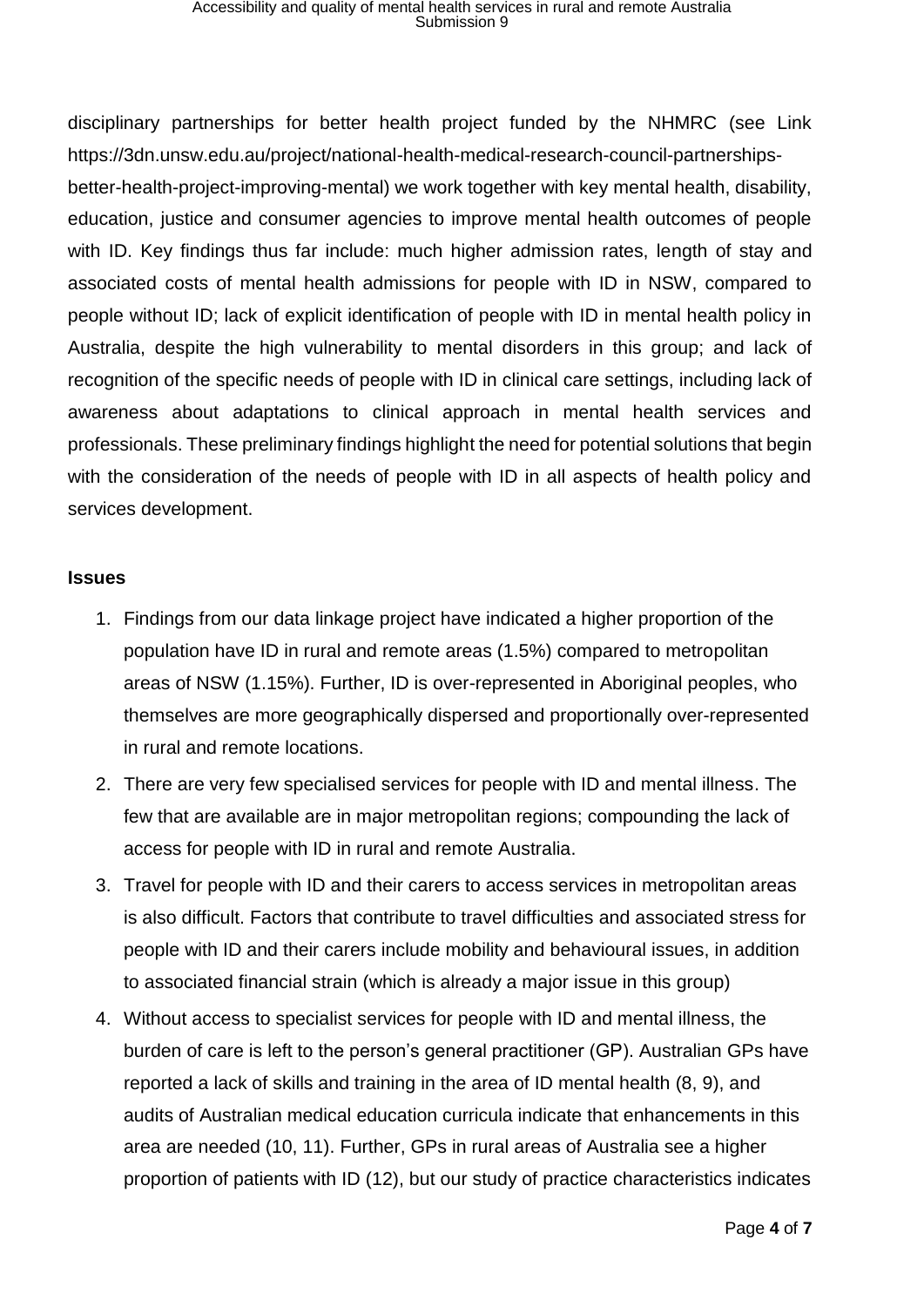disciplinary partnerships for better health project funded by the NHMRC (see Link https://3dn.unsw.edu.au/project/national-health-medical-research-council-partnershipsbetter-health-project-improving-mental) we work together with key mental health, disability, education, justice and consumer agencies to improve mental health outcomes of people with ID. Key findings thus far include: much higher admission rates, length of stay and associated costs of mental health admissions for people with ID in NSW, compared to people without ID; lack of explicit identification of people with ID in mental health policy in Australia, despite the high vulnerability to mental disorders in this group; and lack of recognition of the specific needs of people with ID in clinical care settings, including lack of awareness about adaptations to clinical approach in mental health services and professionals. These preliminary findings highlight the need for potential solutions that begin with the consideration of the needs of people with ID in all aspects of health policy and services development.

#### <span id="page-3-0"></span>**Issues**

- 1. Findings from our data linkage project have indicated a higher proportion of the population have ID in rural and remote areas (1.5%) compared to metropolitan areas of NSW (1.15%). Further, ID is over-represented in Aboriginal peoples, who themselves are more geographically dispersed and proportionally over-represented in rural and remote locations.
- 2. There are very few specialised services for people with ID and mental illness. The few that are available are in major metropolitan regions; compounding the lack of access for people with ID in rural and remote Australia.
- 3. Travel for people with ID and their carers to access services in metropolitan areas is also difficult. Factors that contribute to travel difficulties and associated stress for people with ID and their carers include mobility and behavioural issues, in addition to associated financial strain (which is already a major issue in this group)
- 4. Without access to specialist services for people with ID and mental illness, the burden of care is left to the person's general practitioner (GP). Australian GPs have reported a lack of skills and training in the area of ID mental health (8, 9), and audits of Australian medical education curricula indicate that enhancements in this area are needed (10, 11). Further, GPs in rural areas of Australia see a higher proportion of patients with ID (12), but our study of practice characteristics indicates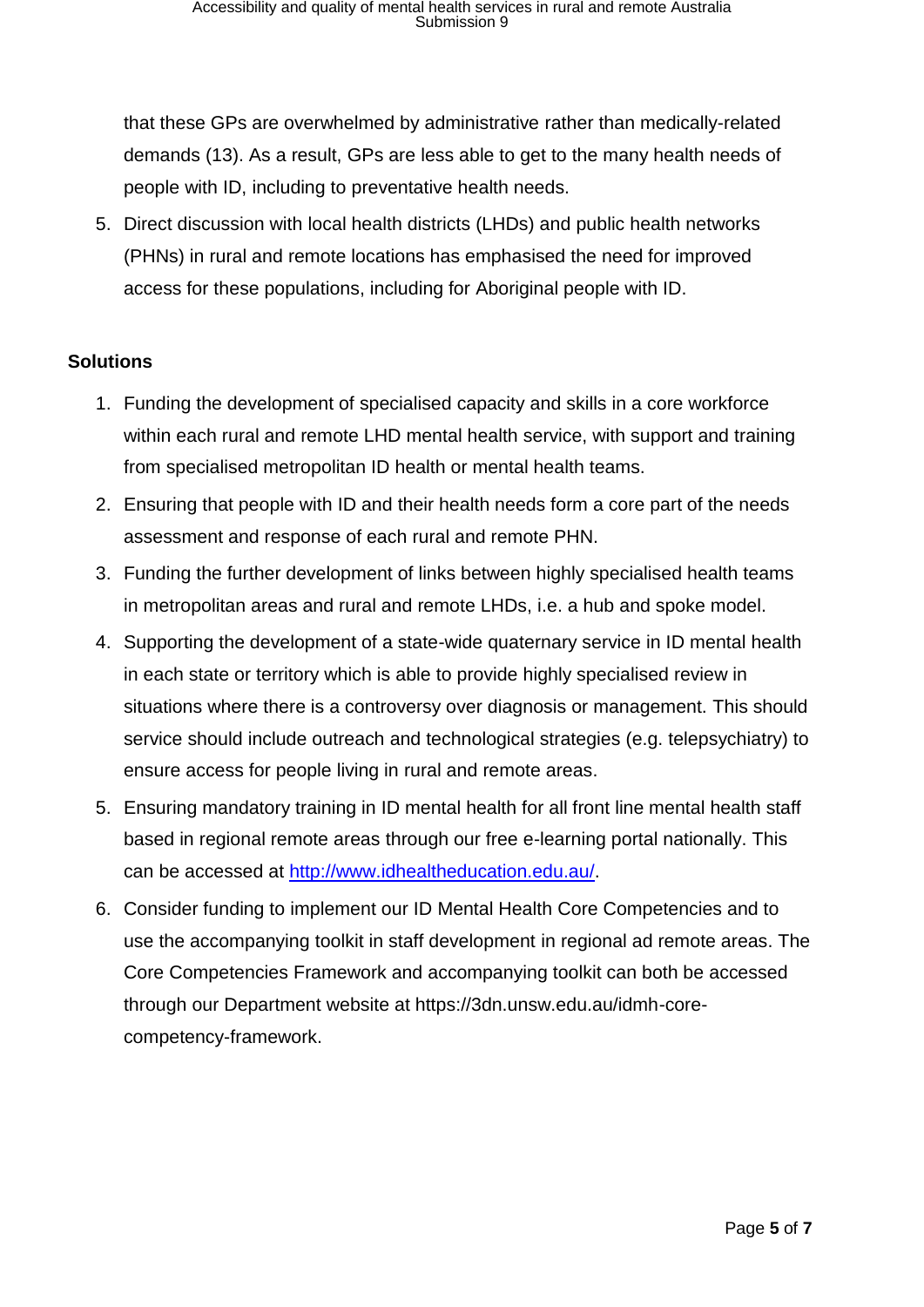that these GPs are overwhelmed by administrative rather than medically-related demands (13). As a result, GPs are less able to get to the many health needs of people with ID, including to preventative health needs.

5. Direct discussion with local health districts (LHDs) and public health networks (PHNs) in rural and remote locations has emphasised the need for improved access for these populations, including for Aboriginal people with ID.

## <span id="page-4-0"></span>**Solutions**

- 1. Funding the development of specialised capacity and skills in a core workforce within each rural and remote LHD mental health service, with support and training from specialised metropolitan ID health or mental health teams.
- 2. Ensuring that people with ID and their health needs form a core part of the needs assessment and response of each rural and remote PHN.
- 3. Funding the further development of links between highly specialised health teams in metropolitan areas and rural and remote LHDs, i.e. a hub and spoke model.
- 4. Supporting the development of a state-wide quaternary service in ID mental health in each state or territory which is able to provide highly specialised review in situations where there is a controversy over diagnosis or management. This should service should include outreach and technological strategies (e.g. telepsychiatry) to ensure access for people living in rural and remote areas.
- 5. Ensuring mandatory training in ID mental health for all front line mental health staff based in regional remote areas through our free e-learning portal nationally. This can be accessed at [http://www.idhealtheducation.edu.au/.](http://www.idhealtheducation.edu.au/)
- 6. Consider funding to implement our ID Mental Health Core Competencies and to use the accompanying toolkit in staff development in regional ad remote areas. The Core Competencies Framework and accompanying toolkit can both be accessed through our Department website at https://3dn.unsw.edu.au/idmh-corecompetency-framework.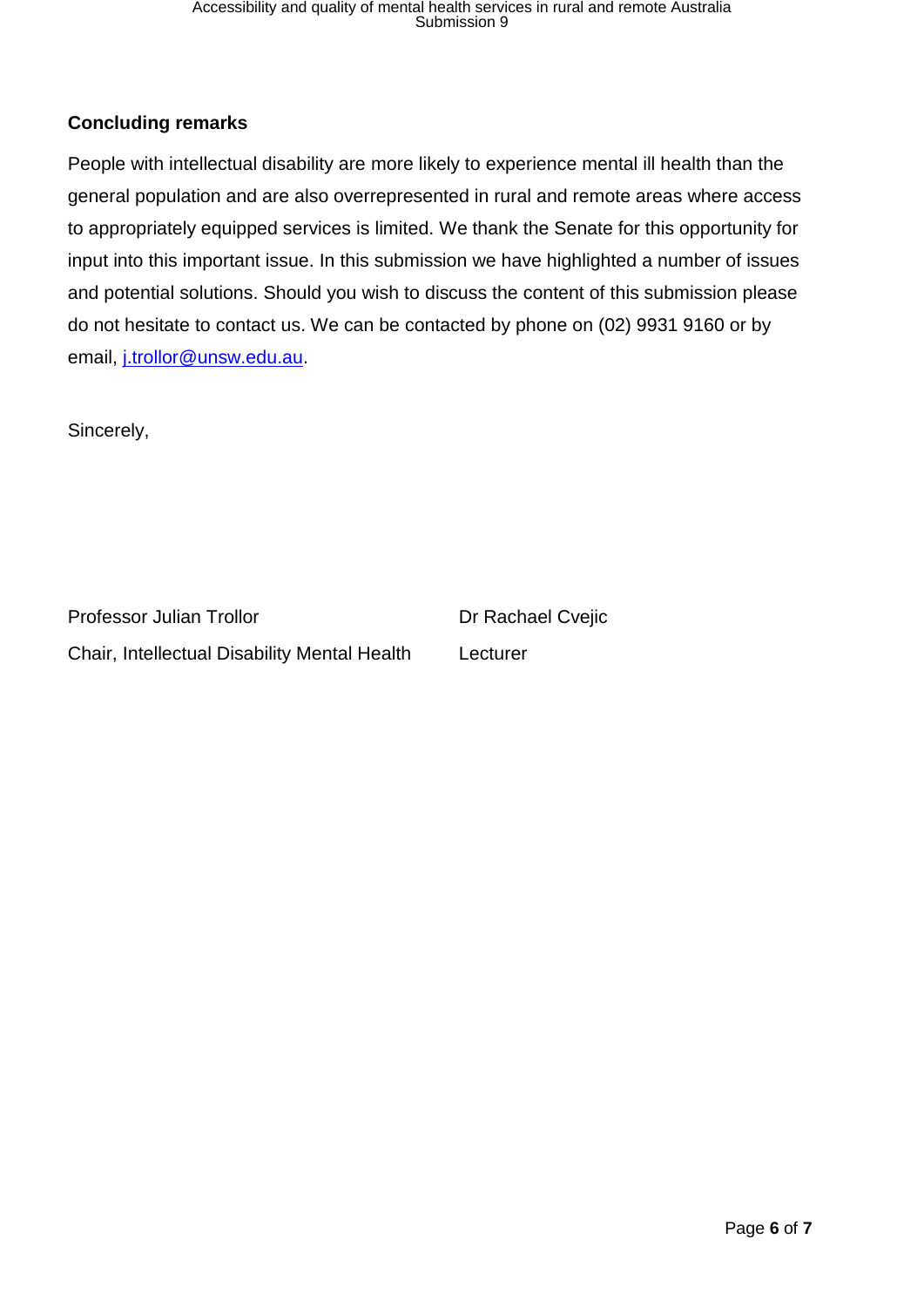# <span id="page-5-0"></span>**Concluding remarks**

People with intellectual disability are more likely to experience mental ill health than the general population and are also overrepresented in rural and remote areas where access to appropriately equipped services is limited. We thank the Senate for this opportunity for input into this important issue. In this submission we have highlighted a number of issues and potential solutions. Should you wish to discuss the content of this submission please do not hesitate to contact us. We can be contacted by phone on (02) 9931 9160 or by email, [j.trollor@unsw.edu.au.](mailto:j.trollor@unsw.edu.au)

Sincerely,

Professor Julian Trollor Dr Rachael Cvejic Chair, Intellectual Disability Mental Health Lecturer